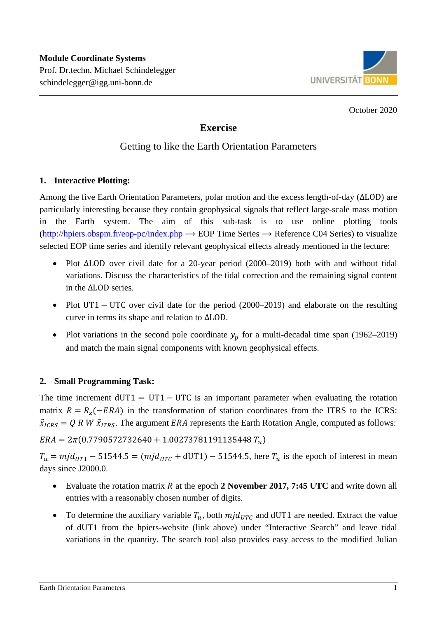

October 2020

## **Exercise**

## Getting to like the Earth Orientation Parameters

## **1. Interactive Plotting:**

Among the five Earth Orientation Parameters, polar motion and the excess length-of-day (∆LOD) are particularly interesting because they contain geophysical signals that reflect large-scale mass motion in the Earth system. The aim of this sub-task is to use online plotting tools  $(\text{http://hpiers.obspm.fr/eop-pc/index.php} \rightarrow \text{EOP Time Series} \rightarrow \text{Reference C04 Series})$  to visualize selected EOP time series and identify relevant geophysical effects already mentioned in the lecture:

- Plot ΔLOD over civil date for a 20-year period (2000–2019) both with and without tidal variations. Discuss the characteristics of the tidal correction and the remaining signal content in the ∆LOD series.
- Plot UT1 UTC over civil date for the period (2000–2019) and elaborate on the resulting curve in terms its shape and relation to ∆LOD.
- Plot variations in the second pole coordinate  $y_p$  for a multi-decadal time span (1962–2019) and match the main signal components with known geophysical effects.

## **2. Small Programming Task:**

The time increment  $dUT1 = UT1 - UTC$  is an important parameter when evaluating the rotation matrix  $R = R<sub>z</sub> (-ERA)$  in the transformation of station coordinates from the ITRS to the ICRS:  $\vec{x}_{ICRS} = Q \, R \, W \, \vec{x}_{ITRS}$ . The argument *ERA* represents the Earth Rotation Angle, computed as follows:

 $ERA = 2\pi(0.7790572732640 + 1.00273781191135448 T_u)$ 

 $T_u = m j d_{UT1} - 51544.5 = (m j d_{UTC} + dUT1) - 51544.5$ , here  $T_u$  is the epoch of interest in mean days since J2000.0.

- Evaluate the rotation matrix R at the epoch 2 November 2017, 7:45 UTC and write down all entries with a reasonably chosen number of digits.
- To determine the auxiliary variable  $T_u$ , both  $mjd_{UTC}$  and dUT1 are needed. Extract the value of dUT1 from the hpiers-website (link above) under "Interactive Search" and leave tidal variations in the quantity. The search tool also provides easy access to the modified Julian